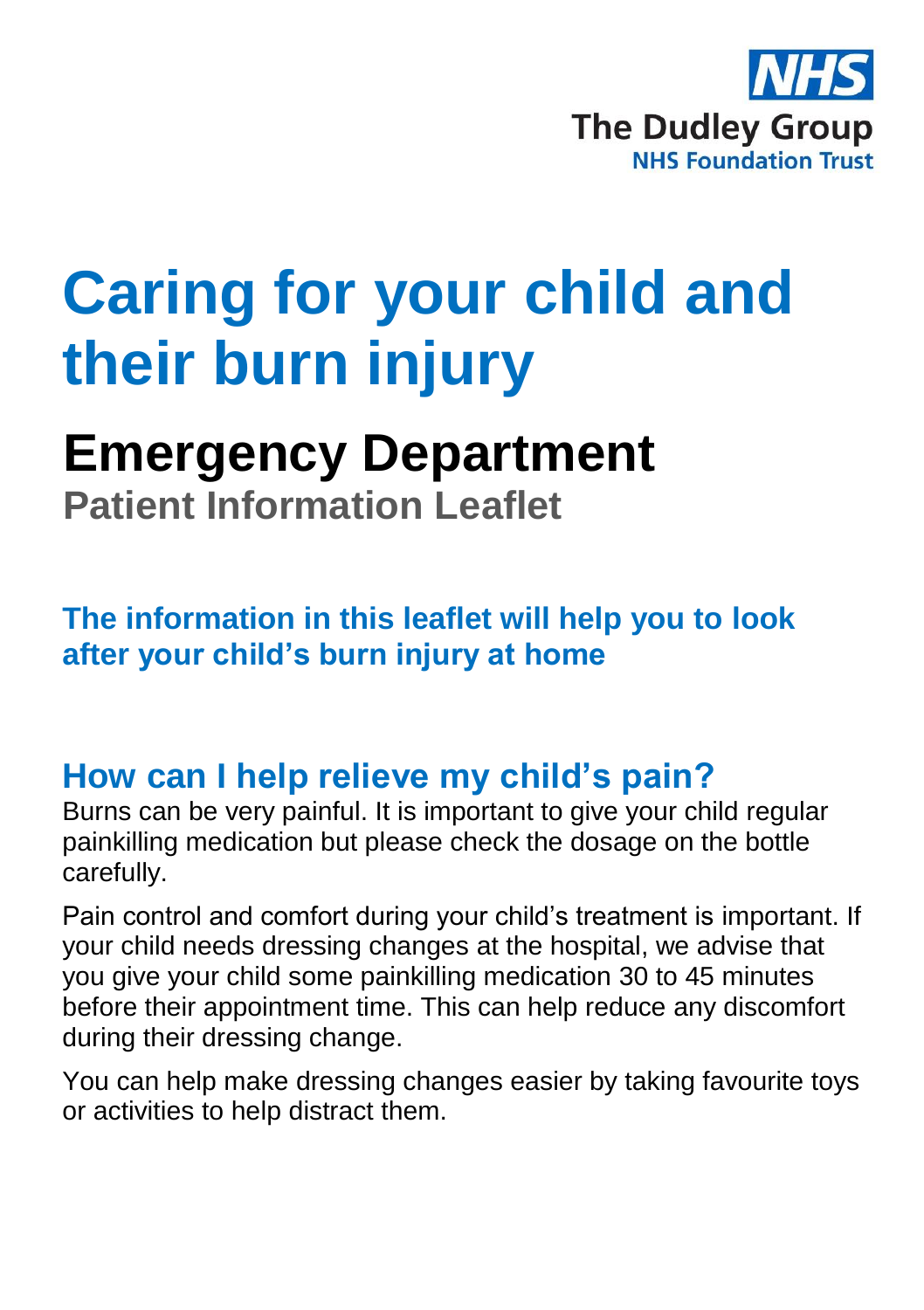

# **Caring for your child and their burn injury**

# **Emergency Department**

**Patient Information Leaflet**

**The information in this leaflet will help you to look after your child's burn injury at home**

## **How can I help relieve my child's pain?**

Burns can be very painful. It is important to give your child regular painkilling medication but please check the dosage on the bottle carefully.

Pain control and comfort during your child's treatment is important. If your child needs dressing changes at the hospital, we advise that you give your child some painkilling medication 30 to 45 minutes before their appointment time. This can help reduce any discomfort during their dressing change.

You can help make dressing changes easier by taking favourite toys or activities to help distract them.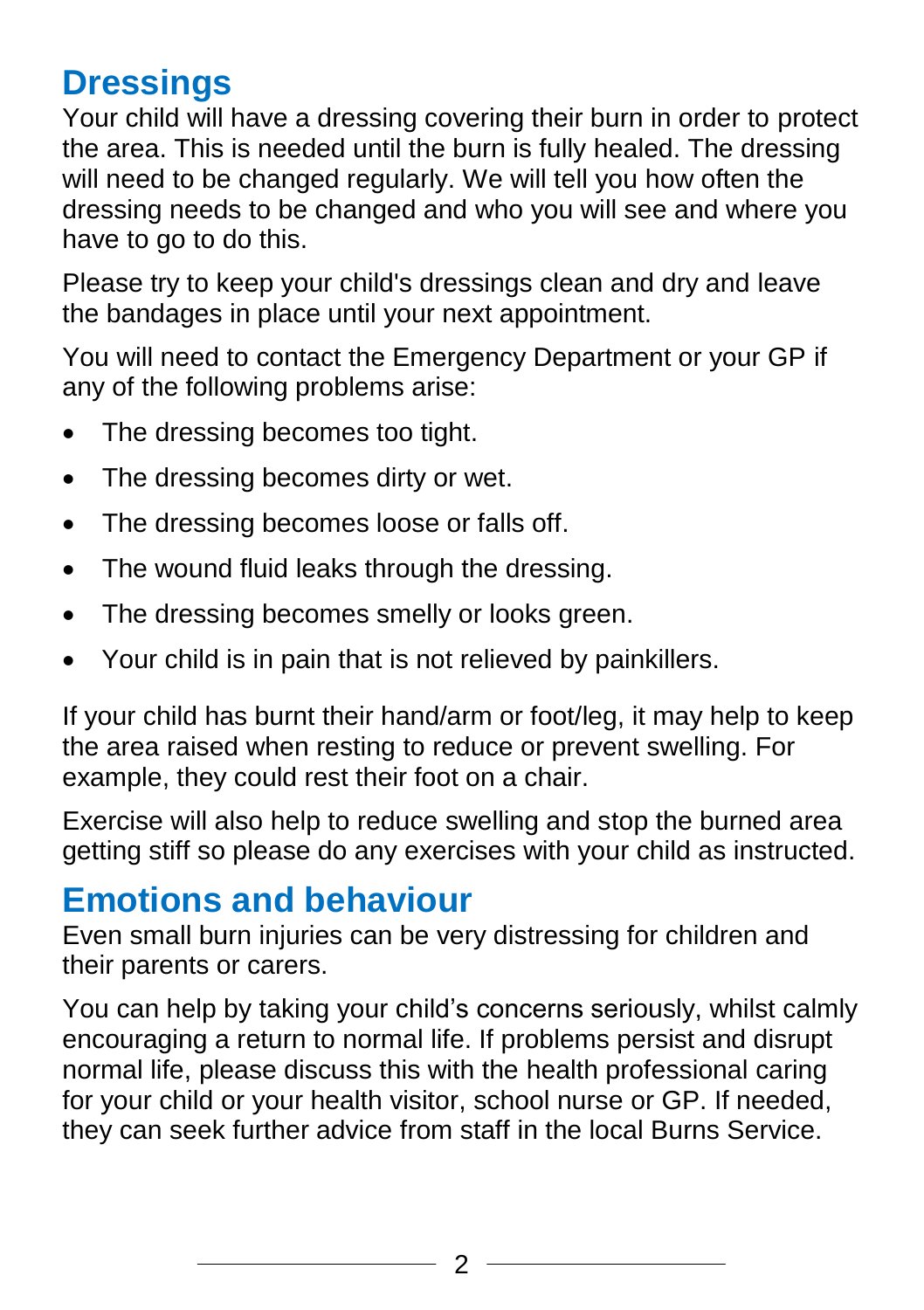## **Dressings**

Your child will have a dressing covering their burn in order to protect the area. This is needed until the burn is fully healed. The dressing will need to be changed regularly. We will tell you how often the dressing needs to be changed and who you will see and where you have to go to do this.

Please try to keep your child's dressings clean and dry and leave the bandages in place until your next appointment.

You will need to contact the Emergency Department or your GP if any of the following problems arise:

- The dressing becomes too tight.
- The dressing becomes dirty or wet.
- The dressing becomes loose or falls off.
- The wound fluid leaks through the dressing.
- The dressing becomes smelly or looks green.
- Your child is in pain that is not relieved by painkillers.

If your child has burnt their hand/arm or foot/leg, it may help to keep the area raised when resting to reduce or prevent swelling. For example, they could rest their foot on a chair.

Exercise will also help to reduce swelling and stop the burned area getting stiff so please do any exercises with your child as instructed.

#### **Emotions and behaviour**

Even small burn injuries can be very distressing for children and their parents or carers.

You can help by taking your child's concerns seriously, whilst calmly encouraging a return to normal life. If problems persist and disrupt normal life, please discuss this with the health professional caring for your child or your health visitor, school nurse or GP. If needed, they can seek further advice from staff in the local Burns Service.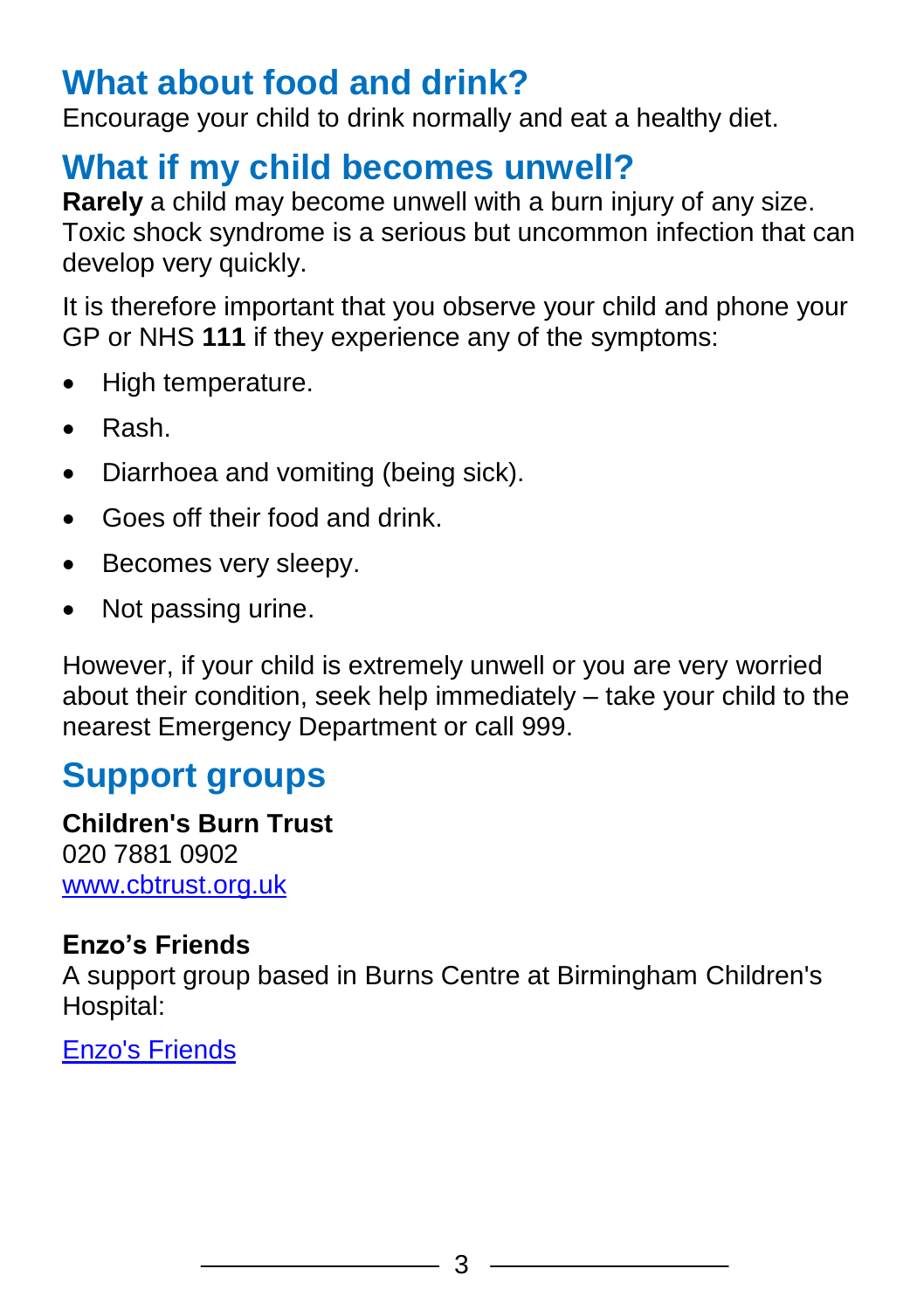#### **What about food and drink?**

Encourage your child to drink normally and eat a healthy diet.

#### **What if my child becomes unwell?**

**Rarely** a child may become unwell with a burn injury of any size. Toxic shock syndrome is a serious but uncommon infection that can develop very quickly.

It is therefore important that you observe your child and phone your GP or NHS **111** if they experience any of the symptoms:

- High temperature.
- Rash.
- Diarrhoea and vomiting (being sick).
- Goes off their food and drink.
- Becomes very sleepy.
- Not passing urine.

However, if your child is extremely unwell or you are very worried about their condition, seek help immediately – take your child to the nearest Emergency Department or call 999.

#### **Support groups**

**Children's Burn Trust** 020 7881 0902 [www.cbtrust.org.uk](http://www.cbtrust.org.uk/)

#### **Enzo's Friends**

A support group based in Burns Centre at Birmingham Children's Hospital:

[Enzo's Friends](http://www.burnaid.co.uk/about-us/enzos-friends/)

3